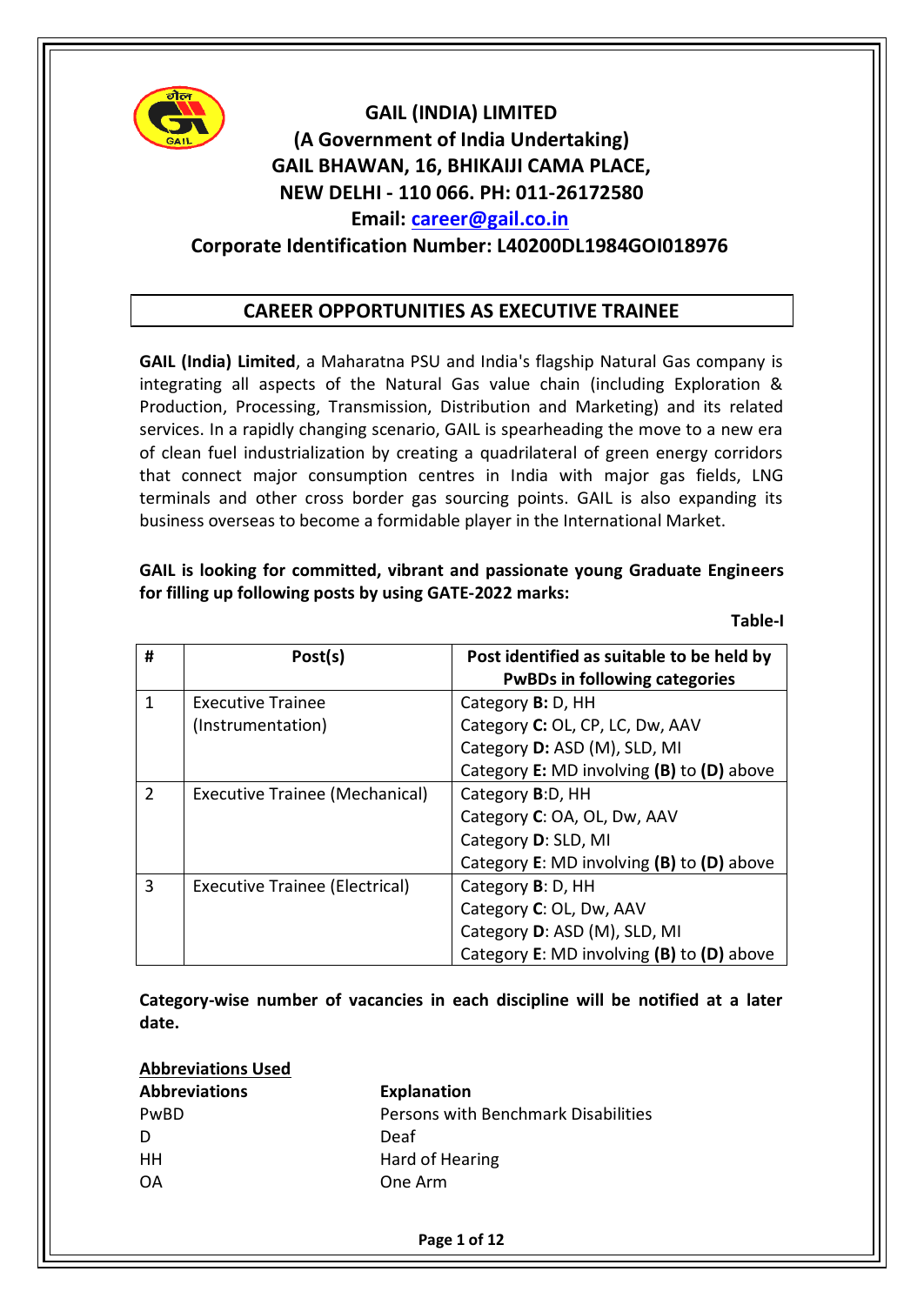

# **GAIL (INDIA) LIMITED (A Government of India Undertaking) GAIL BHAWAN, 16, BHIKAIJI CAMA PLACE, NEW DELHI ‐ 110 066. PH: 011‐26172580 Email: [career@gail.co.in](mailto:career@gail.co.in) Corporate Identification Number: L40200DL1984GOI018976**

## **CAREER OPPORTUNITIES AS EXECUTIVE TRAINEE**

**GAIL (India) Limited**, a Maharatna PSU and India's flagship Natural Gas company is integrating all aspects of the Natural Gas value chain (including Exploration & Production, Processing, Transmission, Distribution and Marketing) and its related services. In a rapidly changing scenario, GAIL is spearheading the move to a new era of clean fuel industrialization by creating a quadrilateral of green energy corridors that connect major consumption centres in India with major gas fields, LNG terminals and other cross border gas sourcing points. GAIL is also expanding its business overseas to become a formidable player in the International Market.

## **GAIL is looking for committed, vibrant and passionate young Graduate Engineers for filling up following posts by using GATE-2022 marks:**

**Table-I**

| #             | Post(s)                               | Post identified as suitable to be held by<br><b>PwBDs in following categories</b> |  |
|---------------|---------------------------------------|-----------------------------------------------------------------------------------|--|
| 1             | <b>Executive Trainee</b>              | Category <b>B</b> : D, HH                                                         |  |
|               | (Instrumentation)                     | Category C: OL, CP, LC, Dw, AAV                                                   |  |
|               |                                       | Category D: ASD (M), SLD, MI                                                      |  |
|               |                                       | Category E: MD involving (B) to (D) above                                         |  |
| $\mathcal{P}$ | <b>Executive Trainee (Mechanical)</b> | Category B:D, HH                                                                  |  |
|               |                                       | Category C: OA, OL, Dw, AAV                                                       |  |
|               |                                       | Category D: SLD, MI                                                               |  |
|               |                                       | Category E: MD involving (B) to (D) above                                         |  |
| 3             | <b>Executive Trainee (Electrical)</b> | Category B: D, HH                                                                 |  |
|               |                                       | Category C: OL, Dw, AAV                                                           |  |
|               |                                       | Category D: ASD (M), SLD, MI                                                      |  |
|               |                                       | Category E: MD involving (B) to (D) above                                         |  |

**Category-wise number of vacancies in each discipline will be notified at a later date.**

| <b>Abbreviations Used</b> |                                     |
|---------------------------|-------------------------------------|
| <b>Abbreviations</b>      | <b>Explanation</b>                  |
| <b>PwBD</b>               | Persons with Benchmark Disabilities |
|                           | Deaf                                |
| HН                        | Hard of Hearing                     |
| ΩA                        | One Arm                             |

**Page 1 of 12**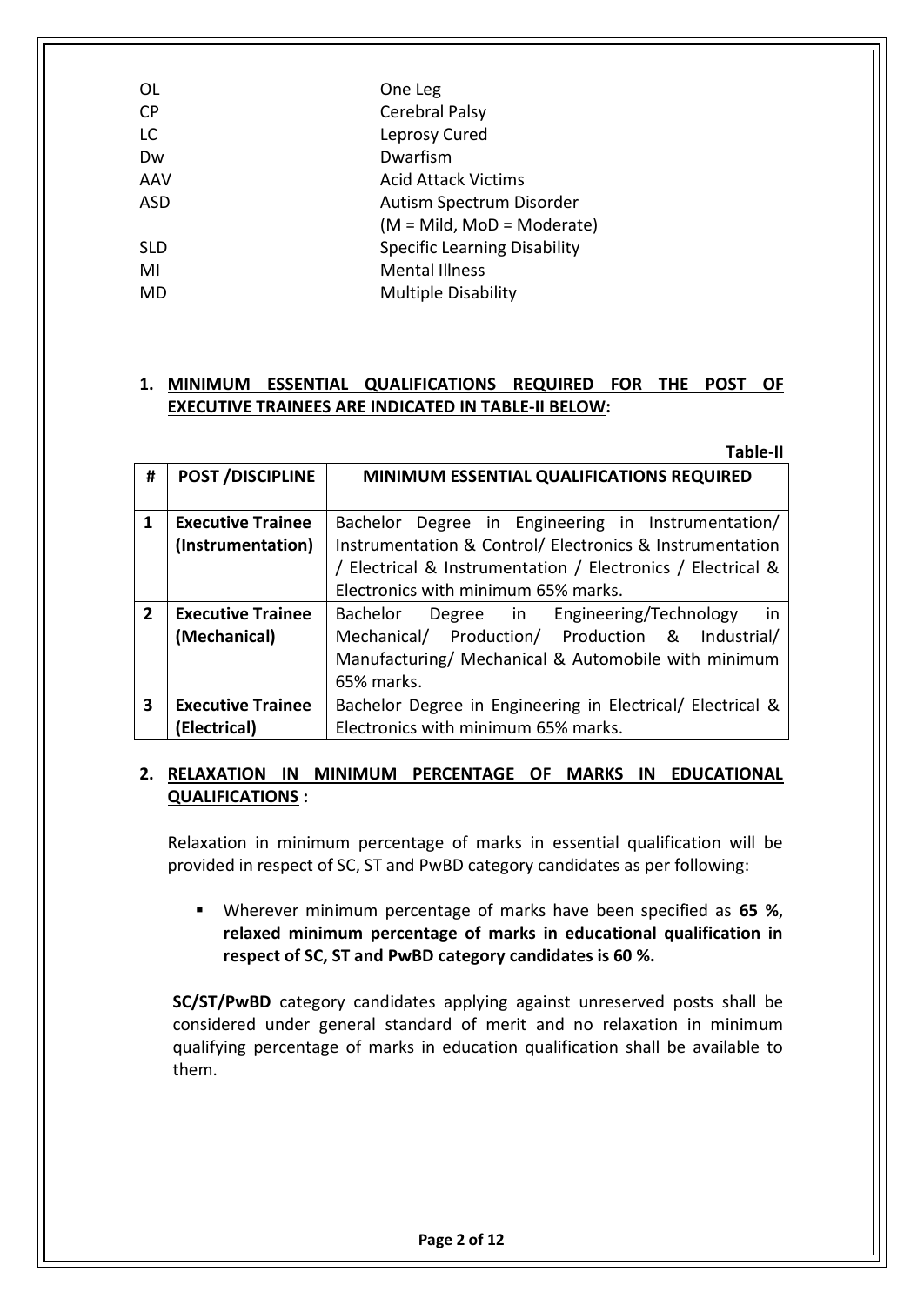| OL         | One Leg                             |  |
|------------|-------------------------------------|--|
| СP         | Cerebral Palsy                      |  |
| LC.        | Leprosy Cured                       |  |
| Dw         | Dwarfism                            |  |
| AAV        | <b>Acid Attack Victims</b>          |  |
| ASD        | Autism Spectrum Disorder            |  |
|            | (M = Mild, MoD = Moderate)          |  |
| <b>SLD</b> | <b>Specific Learning Disability</b> |  |
| MI         | <b>Mental Illness</b>               |  |
| MD         | <b>Multiple Disability</b>          |  |
|            |                                     |  |

## **1. MINIMUM ESSENTIAL QUALIFICATIONS REQUIRED FOR THE POST OF EXECUTIVE TRAINEES ARE INDICATED IN TABLE-II BELOW:**

|                |                          | <b>Table-II</b>                                             |  |  |
|----------------|--------------------------|-------------------------------------------------------------|--|--|
| #              | <b>POST/DISCIPLINE</b>   | MINIMUM ESSENTIAL QUALIFICATIONS REQUIRED                   |  |  |
|                |                          |                                                             |  |  |
| $\mathbf{1}$   | <b>Executive Trainee</b> | Bachelor Degree in Engineering in Instrumentation/          |  |  |
|                | (Instrumentation)        | Instrumentation & Control/ Electronics & Instrumentation    |  |  |
|                |                          | / Electrical & Instrumentation / Electronics / Electrical & |  |  |
|                |                          | Electronics with minimum 65% marks.                         |  |  |
| $\overline{2}$ | <b>Executive Trainee</b> | Bachelor Degree in Engineering/Technology<br>in in          |  |  |
|                | (Mechanical)             | Mechanical/ Production/ Production & Industrial/            |  |  |
|                |                          | Manufacturing/ Mechanical & Automobile with minimum         |  |  |
|                |                          | 65% marks.                                                  |  |  |
| $\mathbf{3}$   | <b>Executive Trainee</b> | Bachelor Degree in Engineering in Electrical/ Electrical &  |  |  |
|                | (Electrical)             | Electronics with minimum 65% marks.                         |  |  |

## **2. RELAXATION IN MINIMUM PERCENTAGE OF MARKS IN EDUCATIONAL QUALIFICATIONS :**

Relaxation in minimum percentage of marks in essential qualification will be provided in respect of SC, ST and PwBD category candidates as per following:

 Wherever minimum percentage of marks have been specified as **65 %**, **relaxed minimum percentage of marks in educational qualification in respect of SC, ST and PwBD category candidates is 60 %.**

**SC/ST/PwBD** category candidates applying against unreserved posts shall be considered under general standard of merit and no relaxation in minimum qualifying percentage of marks in education qualification shall be available to them.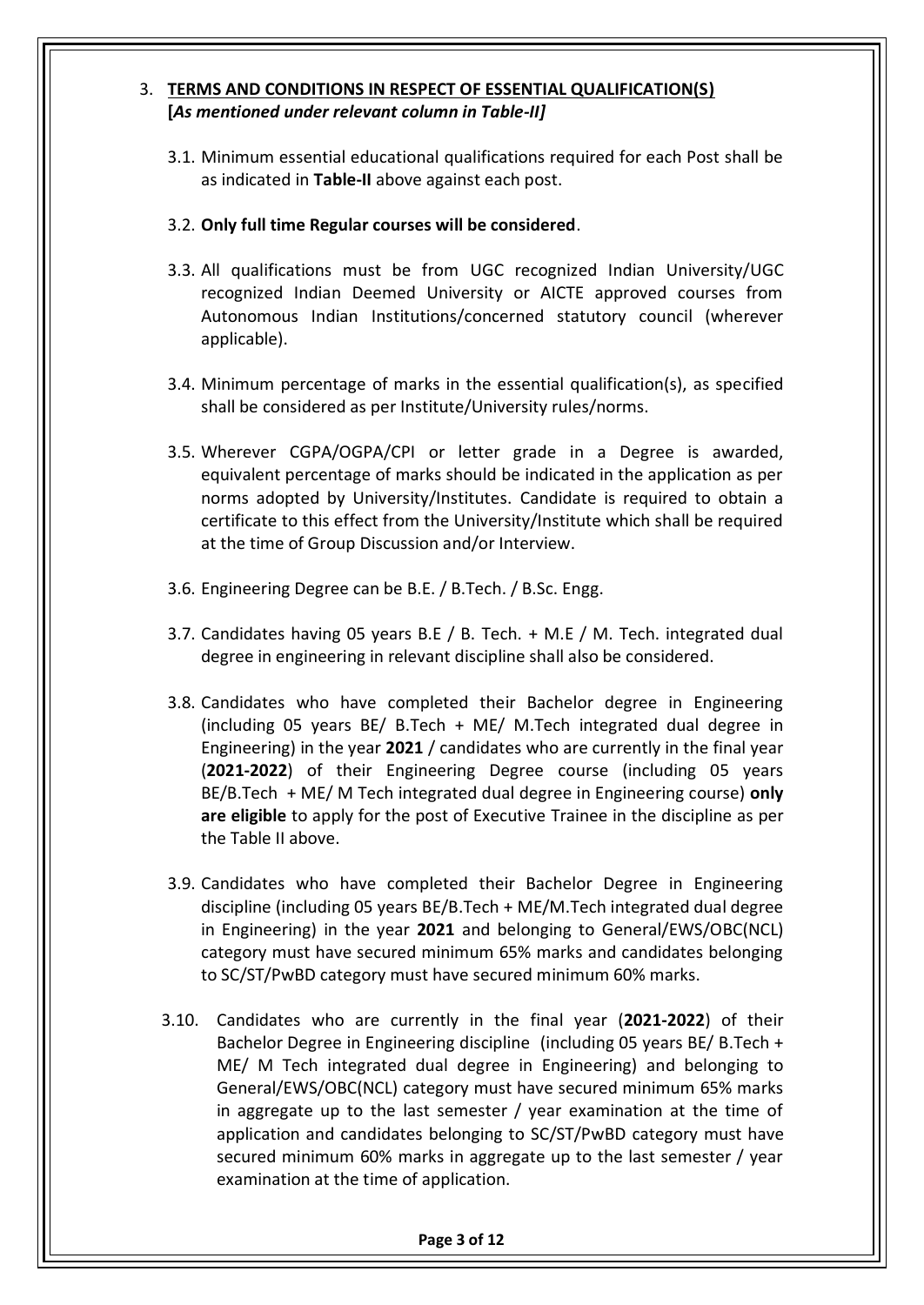## 3. **TERMS AND CONDITIONS IN RESPECT OF ESSENTIAL QUALIFICATION(S) [***As mentioned under relevant column in Table-II]*

3.1. Minimum essential educational qualifications required for each Post shall be as indicated in **Table-II** above against each post.

## 3.2. **Only full time Regular courses will be considered**.

- 3.3. All qualifications must be from UGC recognized Indian University/UGC recognized Indian Deemed University or AICTE approved courses from Autonomous Indian Institutions/concerned statutory council (wherever applicable).
- 3.4. Minimum percentage of marks in the essential qualification(s), as specified shall be considered as per Institute/University rules/norms.
- 3.5. Wherever CGPA/OGPA/CPI or letter grade in a Degree is awarded, equivalent percentage of marks should be indicated in the application as per norms adopted by University/Institutes. Candidate is required to obtain a certificate to this effect from the University/Institute which shall be required at the time of Group Discussion and/or Interview.
- 3.6. Engineering Degree can be B.E. / B.Tech. / B.Sc. Engg.
- 3.7. Candidates having 05 years B.E / B. Tech. + M.E / M. Tech. integrated dual degree in engineering in relevant discipline shall also be considered.
- 3.8. Candidates who have completed their Bachelor degree in Engineering (including 05 years BE/ B.Tech + ME/ M.Tech integrated dual degree in Engineering) in the year **2021** / candidates who are currently in the final year (**2021-2022**) of their Engineering Degree course (including 05 years BE/B.Tech + ME/ M Tech integrated dual degree in Engineering course) **only are eligible** to apply for the post of Executive Trainee in the discipline as per the Table II above.
- 3.9. Candidates who have completed their Bachelor Degree in Engineering discipline (including 05 years BE/B.Tech + ME/M.Tech integrated dual degree in Engineering) in the year **2021** and belonging to General/EWS/OBC(NCL) category must have secured minimum 65% marks and candidates belonging to SC/ST/PwBD category must have secured minimum 60% marks.
- 3.10. Candidates who are currently in the final year (**2021-2022**) of their Bachelor Degree in Engineering discipline (including 05 years BE/ B.Tech + ME/ M Tech integrated dual degree in Engineering) and belonging to General/EWS/OBC(NCL) category must have secured minimum 65% marks in aggregate up to the last semester / year examination at the time of application and candidates belonging to SC/ST/PwBD category must have secured minimum 60% marks in aggregate up to the last semester / year examination at the time of application.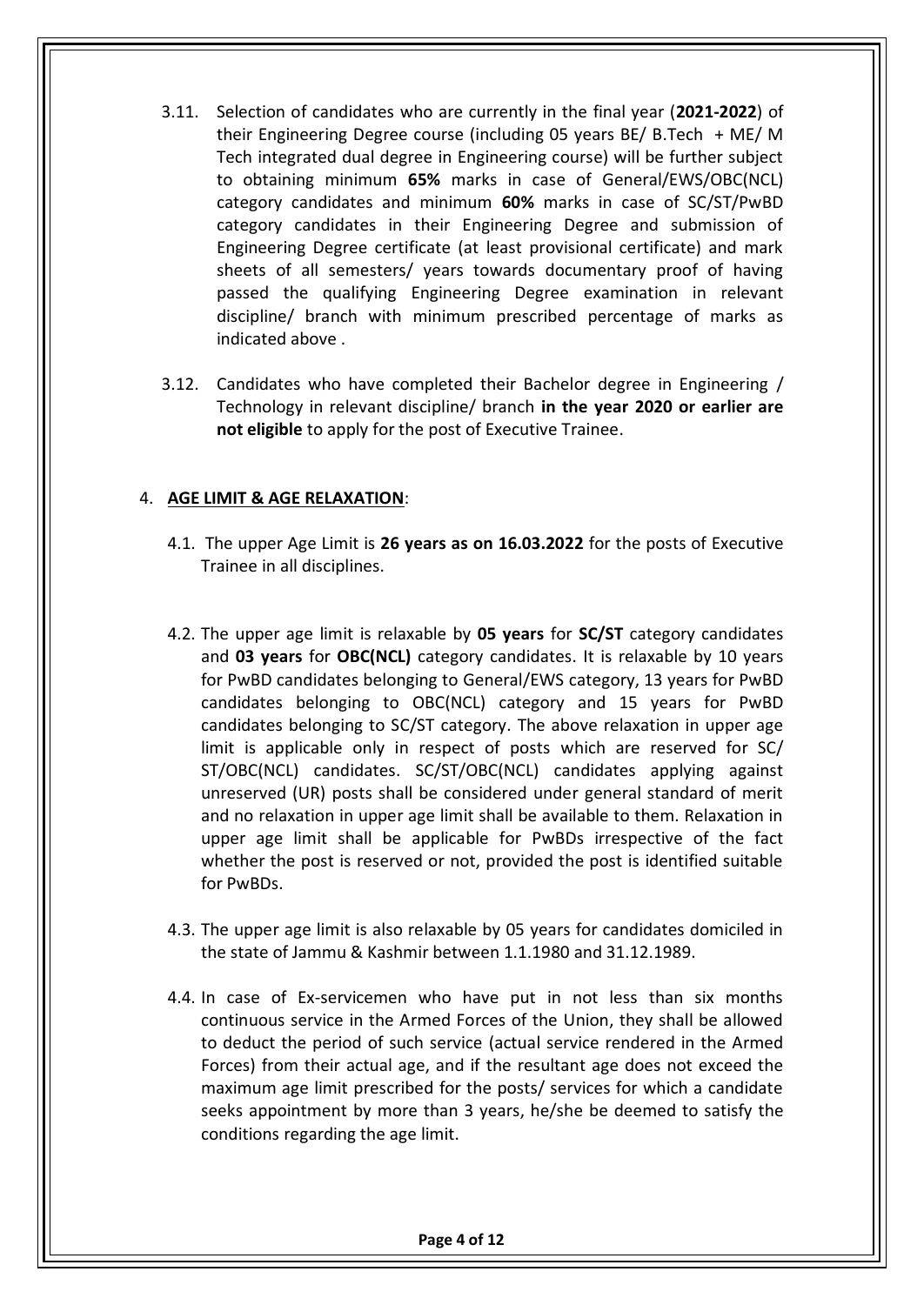- 3.11. Selection of candidates who are currently in the final year (**2021-2022**) of their Engineering Degree course (including 05 years BE/ B.Tech + ME/ M Tech integrated dual degree in Engineering course) will be further subject to obtaining minimum **65%** marks in case of General/EWS/OBC(NCL) category candidates and minimum **60%** marks in case of SC/ST/PwBD category candidates in their Engineering Degree and submission of Engineering Degree certificate (at least provisional certificate) and mark sheets of all semesters/ years towards documentary proof of having passed the qualifying Engineering Degree examination in relevant discipline/ branch with minimum prescribed percentage of marks as indicated above .
- 3.12. Candidates who have completed their Bachelor degree in Engineering / Technology in relevant discipline/ branch **in the year 2020 or earlier are not eligible** to apply for the post of Executive Trainee.

#### 4. **AGE LIMIT & AGE RELAXATION**:

- 4.1. The upper Age Limit is **26 years as on 16.03.2022** for the posts of Executive Trainee in all disciplines.
- 4.2. The upper age limit is relaxable by **05 years** for **SC/ST** category candidates and **03 years** for **OBC(NCL)** category candidates. It is relaxable by 10 years for PwBD candidates belonging to General/EWS category, 13 years for PwBD candidates belonging to OBC(NCL) category and 15 years for PwBD candidates belonging to SC/ST category. The above relaxation in upper age limit is applicable only in respect of posts which are reserved for SC/ ST/OBC(NCL) candidates. SC/ST/OBC(NCL) candidates applying against unreserved (UR) posts shall be considered under general standard of merit and no relaxation in upper age limit shall be available to them. Relaxation in upper age limit shall be applicable for PwBDs irrespective of the fact whether the post is reserved or not, provided the post is identified suitable for PwBDs.
- 4.3. The upper age limit is also relaxable by 05 years for candidates domiciled in the state of Jammu & Kashmir between 1.1.1980 and 31.12.1989.
- 4.4. In case of Ex-servicemen who have put in not less than six months continuous service in the Armed Forces of the Union, they shall be allowed to deduct the period of such service (actual service rendered in the Armed Forces) from their actual age, and if the resultant age does not exceed the maximum age limit prescribed for the posts/ services for which a candidate seeks appointment by more than 3 years, he/she be deemed to satisfy the conditions regarding the age limit.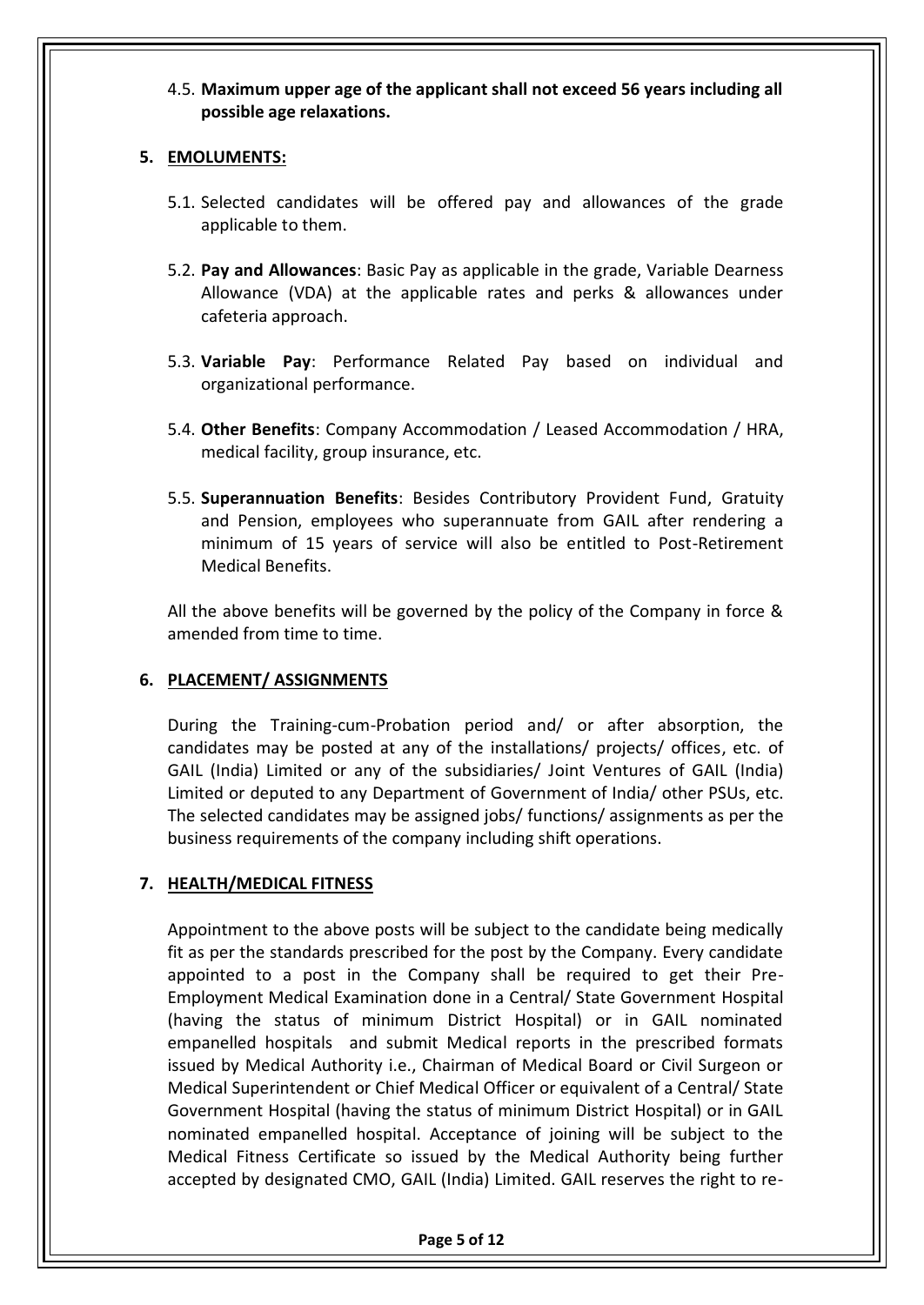#### 4.5. **Maximum upper age of the applicant shall not exceed 56 years including all possible age relaxations.**

### **5. EMOLUMENTS:**

- 5.1. Selected candidates will be offered pay and allowances of the grade applicable to them.
- 5.2. **Pay and Allowances**: Basic Pay as applicable in the grade, Variable Dearness Allowance (VDA) at the applicable rates and perks & allowances under cafeteria approach.
- 5.3. **Variable Pay**: Performance Related Pay based on individual and organizational performance.
- 5.4. **Other Benefits**: Company Accommodation / Leased Accommodation / HRA, medical facility, group insurance, etc.
- 5.5. **Superannuation Benefits**: Besides Contributory Provident Fund, Gratuity and Pension, employees who superannuate from GAIL after rendering a minimum of 15 years of service will also be entitled to Post-Retirement Medical Benefits.

All the above benefits will be governed by the policy of the Company in force & amended from time to time.

#### **6. PLACEMENT/ ASSIGNMENTS**

During the Training-cum-Probation period and/ or after absorption, the candidates may be posted at any of the installations/ projects/ offices, etc. of GAIL (India) Limited or any of the subsidiaries/ Joint Ventures of GAIL (India) Limited or deputed to any Department of Government of India/ other PSUs, etc. The selected candidates may be assigned jobs/ functions/ assignments as per the business requirements of the company including shift operations.

## **7. HEALTH/MEDICAL FITNESS**

Appointment to the above posts will be subject to the candidate being medically fit as per the standards prescribed for the post by the Company. Every candidate appointed to a post in the Company shall be required to get their Pre-Employment Medical Examination done in a Central/ State Government Hospital (having the status of minimum District Hospital) or in GAIL nominated empanelled hospitals and submit Medical reports in the prescribed formats issued by Medical Authority i.e., Chairman of Medical Board or Civil Surgeon or Medical Superintendent or Chief Medical Officer or equivalent of a Central/ State Government Hospital (having the status of minimum District Hospital) or in GAIL nominated empanelled hospital. Acceptance of joining will be subject to the Medical Fitness Certificate so issued by the Medical Authority being further accepted by designated CMO, GAIL (India) Limited. GAIL reserves the right to re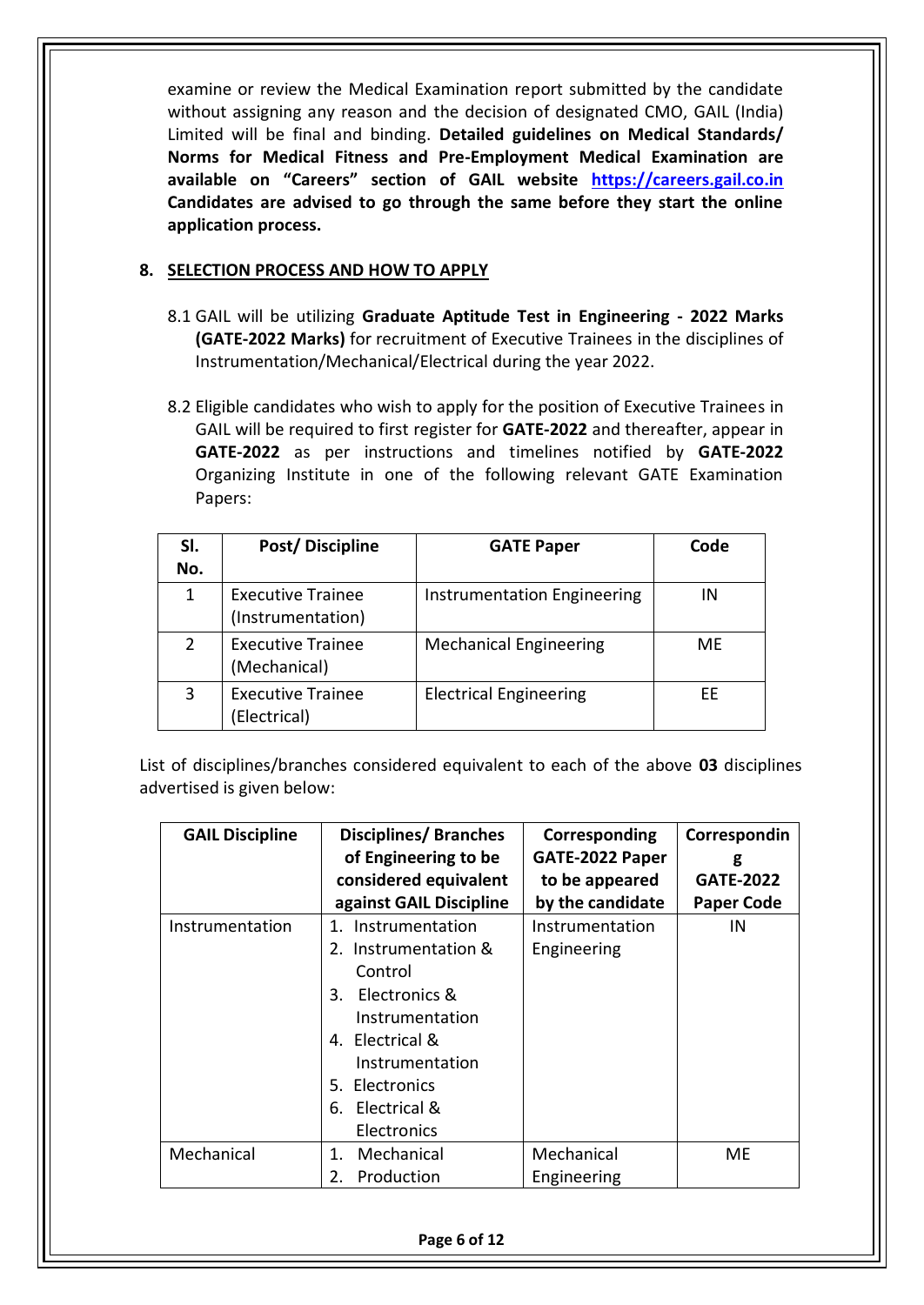examine or review the Medical Examination report submitted by the candidate without assigning any reason and the decision of designated CMO, GAIL (India) Limited will be final and binding. **Detailed guidelines on Medical Standards/ Norms for Medical Fitness and Pre-Employment Medical Examination are available on "Careers" section of GAIL website [https://careers.gail.co.in](https://careers.gail.co.in/) Candidates are advised to go through the same before they start the online application process.**

#### **8. SELECTION PROCESS AND HOW TO APPLY**

- 8.1 GAIL will be utilizing **Graduate Aptitude Test in Engineering - 2022 Marks (GATE-2022 Marks)** for recruitment of Executive Trainees in the disciplines of Instrumentation/Mechanical/Electrical during the year 2022.
- 8.2 Eligible candidates who wish to apply for the position of Executive Trainees in GAIL will be required to first register for **GATE-2022** and thereafter, appear in **GATE-2022** as per instructions and timelines notified by **GATE-2022**  Organizing Institute in one of the following relevant GATE Examination Papers:

| SI.<br>No. | Post/Discipline                               | <b>GATE Paper</b>             | Code |
|------------|-----------------------------------------------|-------------------------------|------|
| 1          | <b>Executive Trainee</b><br>(Instrumentation) | Instrumentation Engineering   | ΙN   |
|            | <b>Executive Trainee</b><br>(Mechanical)      | <b>Mechanical Engineering</b> | ME   |
| 3          | <b>Executive Trainee</b><br>(Electrical)      | <b>Electrical Engineering</b> | FF.  |

List of disciplines/branches considered equivalent to each of the above **03** disciplines advertised is given below:

| <b>GAIL Discipline</b> | <b>Disciplines/Branches</b> | Corresponding    | Correspondin      |
|------------------------|-----------------------------|------------------|-------------------|
|                        | of Engineering to be        | GATE-2022 Paper  | g                 |
|                        | considered equivalent       | to be appeared   | <b>GATE-2022</b>  |
|                        | against GAIL Discipline     | by the candidate | <b>Paper Code</b> |
| Instrumentation        | Instrumentation<br>1.       | Instrumentation  | IN                |
|                        | 2. Instrumentation &        | Engineering      |                   |
|                        | Control                     |                  |                   |
|                        | Electronics &<br>3.         |                  |                   |
|                        | Instrumentation             |                  |                   |
|                        | 4. Electrical &             |                  |                   |
|                        | Instrumentation             |                  |                   |
|                        | 5. Electronics              |                  |                   |
|                        | 6. Electrical &             |                  |                   |
|                        | Electronics                 |                  |                   |
| Mechanical             | Mechanical<br>$1_{\cdot}$   | Mechanical       | ME                |
|                        | Production<br>2.            | Engineering      |                   |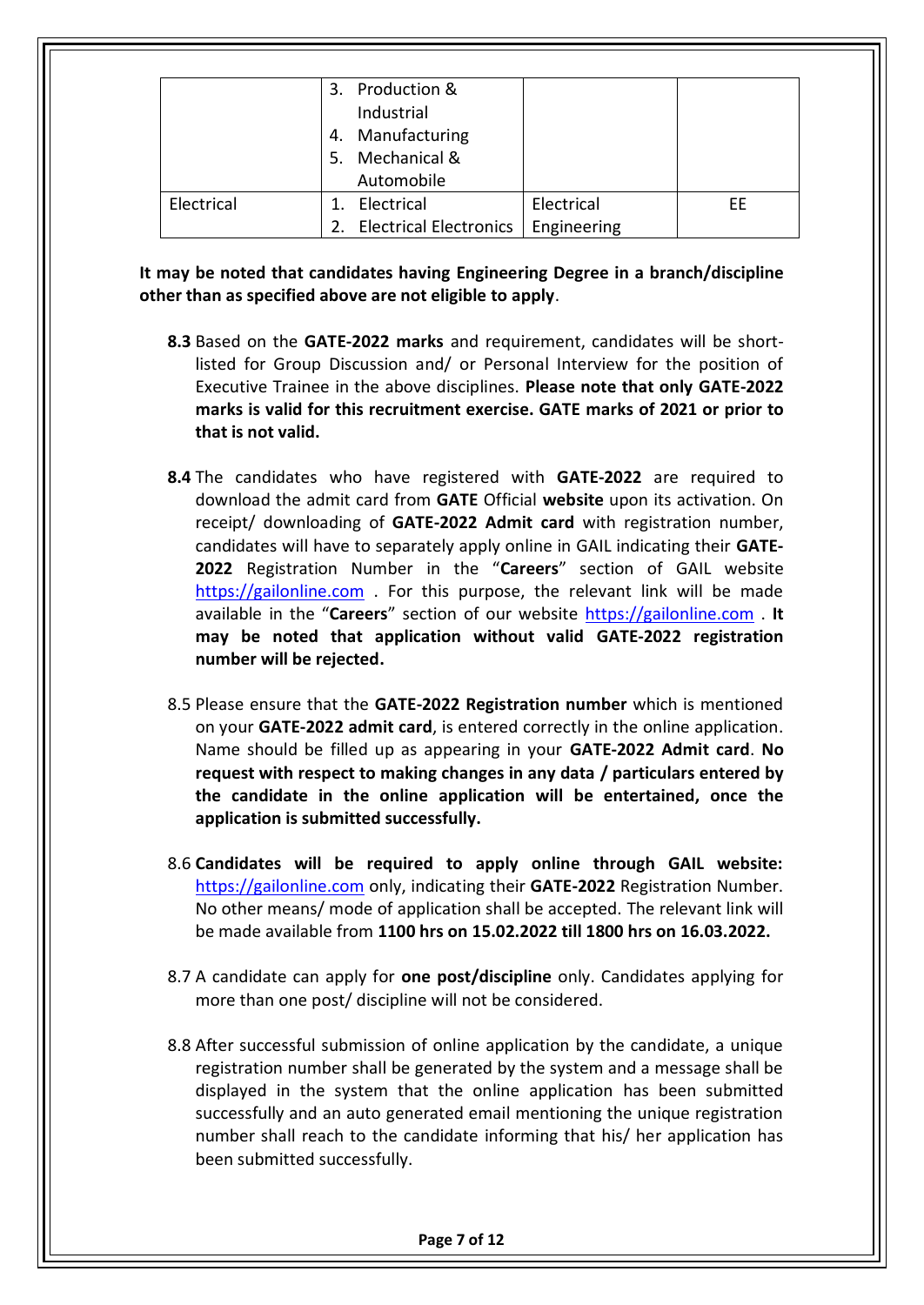|            | 3. Production &<br>Industrial<br>4. Manufacturing<br>5. Mechanical &<br>Automobile |             |    |
|------------|------------------------------------------------------------------------------------|-------------|----|
| Electrical | Electrical                                                                         | Electrical  | FF |
|            | 2. Electrical Electronics                                                          | Engineering |    |

**It may be noted that candidates having Engineering Degree in a branch/discipline other than as specified above are not eligible to apply**.

- **8.3** Based on the **GATE-2022 marks** and requirement, candidates will be shortlisted for Group Discussion and/ or Personal Interview for the position of Executive Trainee in the above disciplines. **Please note that only GATE-2022 marks is valid for this recruitment exercise. GATE marks of 2021 or prior to that is not valid.**
- **8.4** The candidates who have registered with **GATE-2022** are required to download the admit card from **GATE** Official **website** upon its activation. On receipt/ downloading of **GATE-2022 Admit card** with registration number, candidates will have to separately apply online in GAIL indicating their **GATE-2022** Registration Number in the "**Careers**" section of GAIL website [https://gailonline.com](https://gailonline.com/) . For this purpose, the relevant link will be made available in the "**Careers**" section of our website [https://gailonline.com](https://gailonline.com/) . **It may be noted that application without valid GATE-2022 registration number will be rejected.**
- 8.5 Please ensure that the **GATE-2022 Registration number** which is mentioned on your **GATE-2022 admit card**, is entered correctly in the online application. Name should be filled up as appearing in your **GATE-2022 Admit card**. **No request with respect to making changes in any data / particulars entered by the candidate in the online application will be entertained, once the application is submitted successfully.**
- 8.6 **Candidates will be required to apply online through GAIL website:** [https://gailonline.com](https://gailonline.com/) only, indicating their **GATE-2022** Registration Number. No other means/ mode of application shall be accepted. The relevant link will be made available from **1100 hrs on 15.02.2022 till 1800 hrs on 16.03.2022.**
- 8.7 A candidate can apply for **one post/discipline** only. Candidates applying for more than one post/ discipline will not be considered.
- 8.8 After successful submission of online application by the candidate, a unique registration number shall be generated by the system and a message shall be displayed in the system that the online application has been submitted successfully and an auto generated email mentioning the unique registration number shall reach to the candidate informing that his/ her application has been submitted successfully.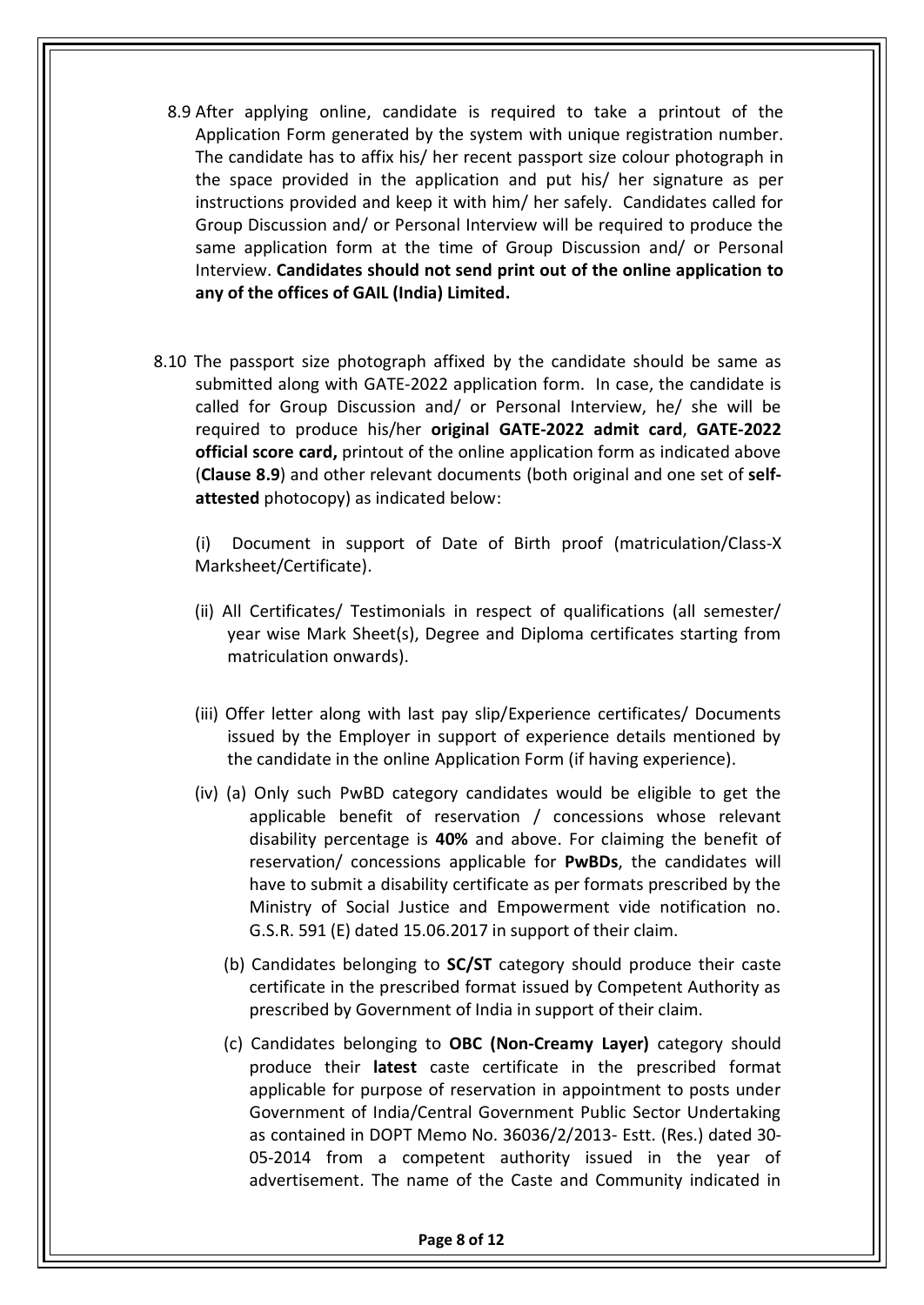- 8.9 After applying online, candidate is required to take a printout of the Application Form generated by the system with unique registration number. The candidate has to affix his/ her recent passport size colour photograph in the space provided in the application and put his/ her signature as per instructions provided and keep it with him/ her safely. Candidates called for Group Discussion and/ or Personal Interview will be required to produce the same application form at the time of Group Discussion and/ or Personal Interview. **Candidates should not send print out of the online application to any of the offices of GAIL (India) Limited.**
- 8.10 The passport size photograph affixed by the candidate should be same as submitted along with GATE-2022 application form. In case, the candidate is called for Group Discussion and/ or Personal Interview, he/ she will be required to produce his/her **original GATE-2022 admit card**, **GATE-2022 official score card,** printout of the online application form as indicated above (**Clause 8.9**) and other relevant documents (both original and one set of **selfattested** photocopy) as indicated below:

(i) Document in support of Date of Birth proof (matriculation/Class-X Marksheet/Certificate).

- (ii) All Certificates/ Testimonials in respect of qualifications (all semester/ year wise Mark Sheet(s), Degree and Diploma certificates starting from matriculation onwards).
- (iii) Offer letter along with last pay slip/Experience certificates/ Documents issued by the Employer in support of experience details mentioned by the candidate in the online Application Form (if having experience).
- (iv) (a) Only such PwBD category candidates would be eligible to get the applicable benefit of reservation / concessions whose relevant disability percentage is **40%** and above. For claiming the benefit of reservation/ concessions applicable for **PwBDs**, the candidates will have to submit a disability certificate as per formats prescribed by the Ministry of Social Justice and Empowerment vide notification no. G.S.R. 591 (E) dated 15.06.2017 in support of their claim.
	- (b) Candidates belonging to **SC/ST** category should produce their caste certificate in the prescribed format issued by Competent Authority as prescribed by Government of India in support of their claim.
	- (c) Candidates belonging to **OBC (Non‐Creamy Layer)** category should produce their **latest** caste certificate in the prescribed format applicable for purpose of reservation in appointment to posts under Government of India/Central Government Public Sector Undertaking as contained in DOPT Memo No. 36036/2/2013- Estt. (Res.) dated 30- 05-2014 from a competent authority issued in the year of advertisement. The name of the Caste and Community indicated in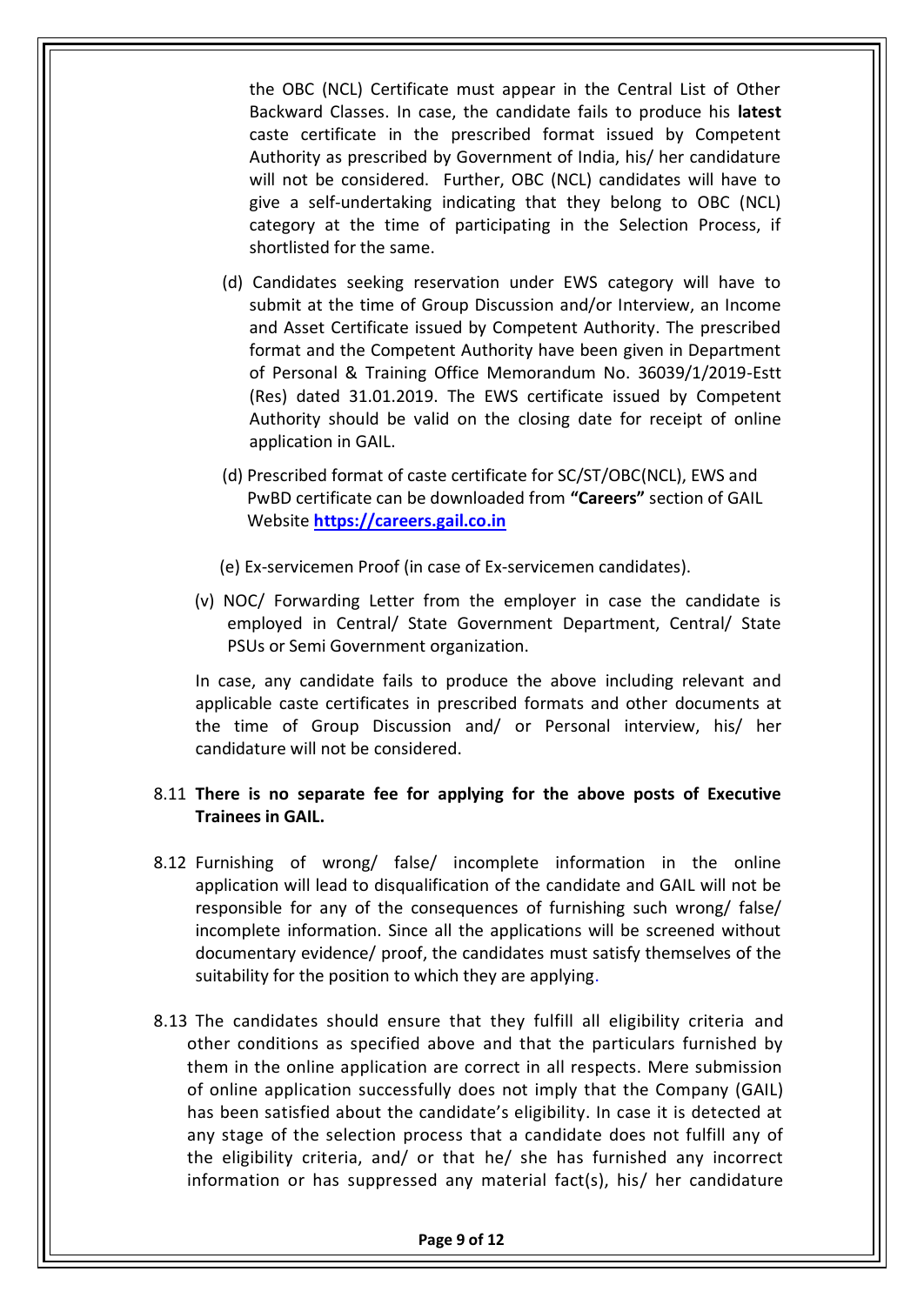the OBC (NCL) Certificate must appear in the Central List of Other Backward Classes. In case, the candidate fails to produce his **latest** caste certificate in the prescribed format issued by Competent Authority as prescribed by Government of India, his/ her candidature will not be considered. Further, OBC (NCL) candidates will have to give a self-undertaking indicating that they belong to OBC (NCL) category at the time of participating in the Selection Process, if shortlisted for the same.

- (d) Candidates seeking reservation under EWS category will have to submit at the time of Group Discussion and/or Interview, an Income and Asset Certificate issued by Competent Authority. The prescribed format and the Competent Authority have been given in Department of Personal & Training Office Memorandum No. 36039/1/2019-Estt (Res) dated 31.01.2019. The EWS certificate issued by Competent Authority should be valid on the closing date for receipt of online application in GAIL.
- (d) Prescribed format of caste certificate for SC/ST/OBC(NCL), EWS and PwBD certificate can be downloaded from **"Careers"** section of GAIL Website **[https://careers.gail.co.in](https://careers.gail.co.in/)**
- (e) Ex‐servicemen Proof (in case of Ex‐servicemen candidates).
- (v) NOC/ Forwarding Letter from the employer in case the candidate is employed in Central/ State Government Department, Central/ State PSUs or Semi Government organization.

In case, any candidate fails to produce the above including relevant and applicable caste certificates in prescribed formats and other documents at the time of Group Discussion and/ or Personal interview, his/ her candidature will not be considered.

#### 8.11 **There is no separate fee for applying for the above posts of Executive Trainees in GAIL.**

- 8.12 Furnishing of wrong/ false/ incomplete information in the online application will lead to disqualification of the candidate and GAIL will not be responsible for any of the consequences of furnishing such wrong/ false/ incomplete information. Since all the applications will be screened without documentary evidence/ proof, the candidates must satisfy themselves of the suitability for the position to which they are applying.
- 8.13 The candidates should ensure that they fulfill all eligibility criteria and other conditions as specified above and that the particulars furnished by them in the online application are correct in all respects. Mere submission of online application successfully does not imply that the Company (GAIL) has been satisfied about the candidate's eligibility. In case it is detected at any stage of the selection process that a candidate does not fulfill any of the eligibility criteria, and/ or that he/ she has furnished any incorrect information or has suppressed any material fact(s), his/ her candidature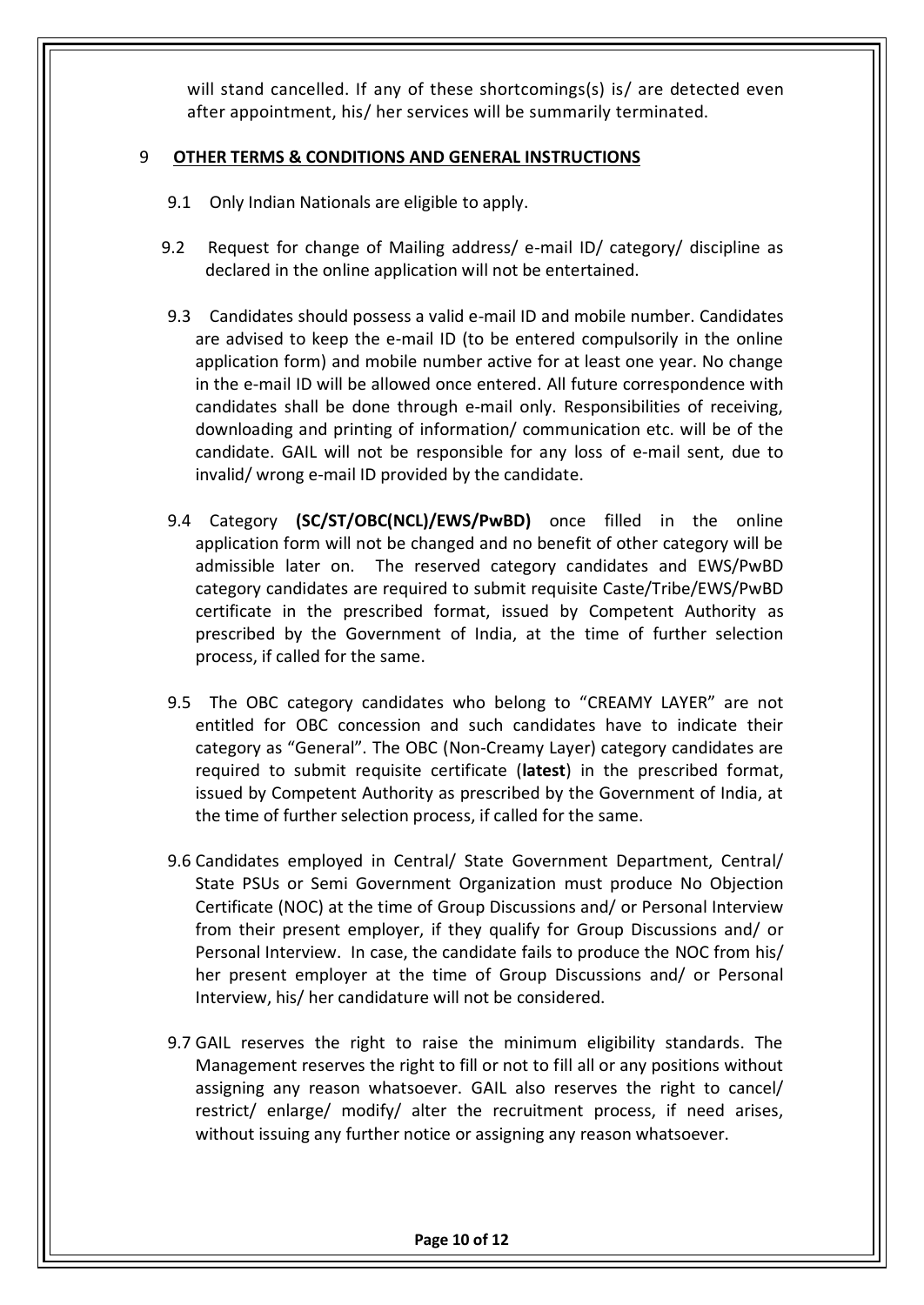will stand cancelled. If any of these shortcomings(s) is/ are detected even after appointment, his/ her services will be summarily terminated.

#### 9 **OTHER TERMS & CONDITIONS AND GENERAL INSTRUCTIONS**

- 9.1 Only Indian Nationals are eligible to apply.
- 9.2 Request for change of Mailing address/ e-mail ID/ category/ discipline as declared in the online application will not be entertained.
- 9.3 Candidates should possess a valid e-mail ID and mobile number. Candidates are advised to keep the e-mail ID (to be entered compulsorily in the online application form) and mobile number active for at least one year. No change in the e-mail ID will be allowed once entered. All future correspondence with candidates shall be done through e-mail only. Responsibilities of receiving, downloading and printing of information/ communication etc. will be of the candidate. GAIL will not be responsible for any loss of e-mail sent, due to invalid/ wrong e-mail ID provided by the candidate.
- 9.4 Category **(SC/ST/OBC(NCL)/EWS/PwBD)** once filled in the online application form will not be changed and no benefit of other category will be admissible later on. The reserved category candidates and EWS/PwBD category candidates are required to submit requisite Caste/Tribe/EWS/PwBD certificate in the prescribed format, issued by Competent Authority as prescribed by the Government of India, at the time of further selection process, if called for the same.
- 9.5 The OBC category candidates who belong to "CREAMY LAYER" are not entitled for OBC concession and such candidates have to indicate their category as "General". The OBC (Non-Creamy Layer) category candidates are required to submit requisite certificate (**latest**) in the prescribed format, issued by Competent Authority as prescribed by the Government of India, at the time of further selection process, if called for the same.
- 9.6 Candidates employed in Central/ State Government Department, Central/ State PSUs or Semi Government Organization must produce No Objection Certificate (NOC) at the time of Group Discussions and/ or Personal Interview from their present employer, if they qualify for Group Discussions and/ or Personal Interview. In case, the candidate fails to produce the NOC from his/ her present employer at the time of Group Discussions and/ or Personal Interview, his/ her candidature will not be considered.
- 9.7 GAIL reserves the right to raise the minimum eligibility standards. The Management reserves the right to fill or not to fill all or any positions without assigning any reason whatsoever. GAIL also reserves the right to cancel/ restrict/ enlarge/ modify/ alter the recruitment process, if need arises, without issuing any further notice or assigning any reason whatsoever.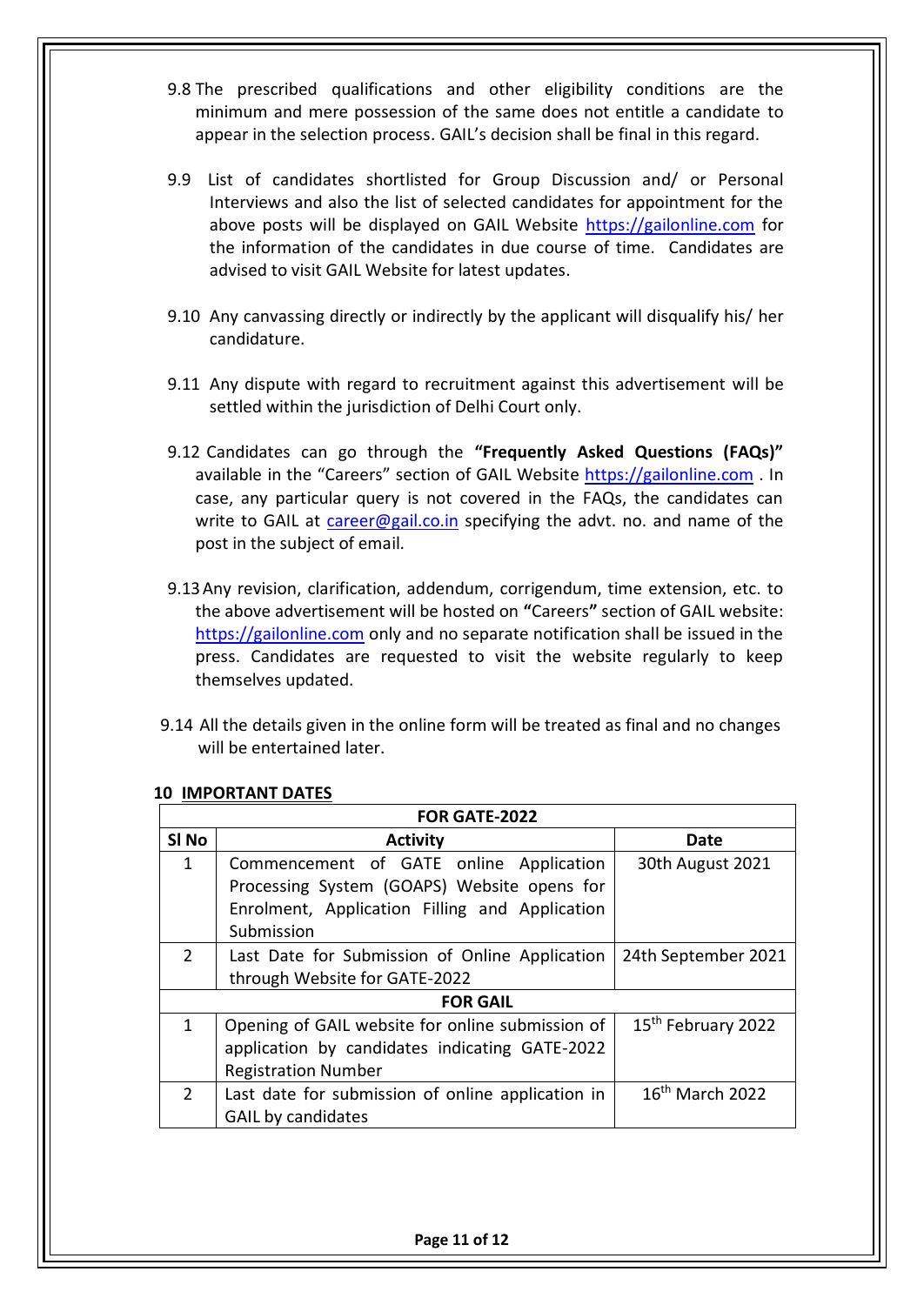- 9.8 The prescribed qualifications and other eligibility conditions are the minimum and mere possession of the same does not entitle a candidate to appear in the selection process. GAIL's decision shall be final in this regard.
- 9.9 List of candidates shortlisted for Group Discussion and/ or Personal Interviews and also the list of selected candidates for appointment for the above posts will be displayed on GAIL Website [https://gailonline.com](https://gailonline.com/) for the information of the candidates in due course of time. Candidates are advised to visit GAIL Website for latest updates.
- 9.10 Any canvassing directly or indirectly by the applicant will disqualify his/ her candidature.
- 9.11 Any dispute with regard to recruitment against this advertisement will be settled within the jurisdiction of Delhi Court only.
- 9.12 Candidates can go through the **"Frequently Asked Questions (FAQs)"**  available in the "Careers" section of GAIL Website [https://gailonline.com](https://gailonline.com/) . In case, any particular query is not covered in the FAQs, the candidates can write to GAIL at [career@gail.co.in](mailto:career@gail.co.in) specifying the advt. no. and name of the post in the subject of email.
- 9.13Any revision, clarification, addendum, corrigendum, time extension, etc. to the above advertisement will be hosted on **"**Careers**"** section of GAIL website: [https://gailonline.com](https://gailonline.com/) only and no separate notification shall be issued in the press. Candidates are requested to visit the website regularly to keep themselves updated.
- 9.14 All the details given in the online form will be treated as final and no changes will be entertained later.

| FOR GATE-2022    |                                                   |                                |  |
|------------------|---------------------------------------------------|--------------------------------|--|
| SI <sub>No</sub> | <b>Activity</b>                                   | Date                           |  |
| 1                | Commencement of GATE online Application           | 30th August 2021               |  |
|                  | Processing System (GOAPS) Website opens for       |                                |  |
|                  | Enrolment, Application Filling and Application    |                                |  |
|                  | Submission                                        |                                |  |
| $\overline{2}$   | Last Date for Submission of Online Application    | 24th September 2021            |  |
|                  | through Website for GATE-2022                     |                                |  |
| <b>FOR GAIL</b>  |                                                   |                                |  |
| 1                | Opening of GAIL website for online submission of  | 15 <sup>th</sup> February 2022 |  |
|                  | application by candidates indicating GATE-2022    |                                |  |
|                  | <b>Registration Number</b>                        |                                |  |
| $\mathcal{P}$    | Last date for submission of online application in | $16th$ March 2022              |  |
|                  | <b>GAIL by candidates</b>                         |                                |  |

#### **10 IMPORTANT DATES**